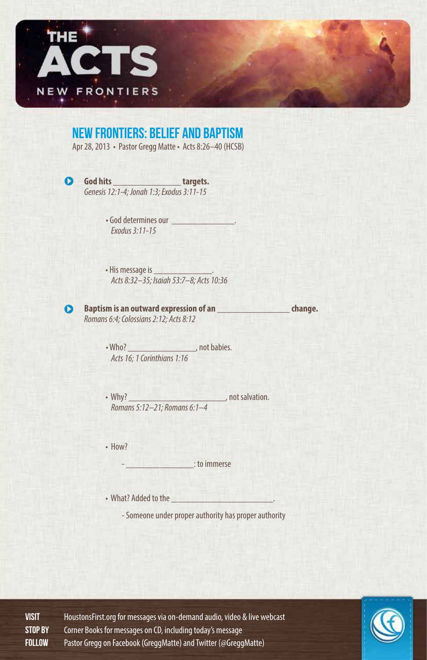

#### New Frontiers: Belief and Baptism

Apr 28, 2013 • Pastor Gregg Matte • Acts 8:26–40 (HCSB)

 $\bullet$ 

**God hits \_\_\_\_\_\_\_\_\_\_\_\_\_\_ targets.**  *Genesis 12:1-4; Jonah 1:3; Exodus 3:11-15*

> • God determines our \_\_\_\_\_\_\_\_\_\_\_\_\_. *Exodus 3:11-15*

• His message is *Acts 8:32–35; Isaiah 53:7–8; Acts 10:36*



**Baptism is an outward expression of an zero designation change. change.** *Romans 6:4; Colossians 2:12; Acts 8:12*

> • Who? **•** *•* Who? **•** *•* Who? **•** *• • • •* **<b>***• • • • • • • • • • • • • • • • • • • • • • • • • • Acts 16; 1 Corinthians 1:16*

• Why? \_\_\_\_\_\_\_\_\_\_\_\_\_\_\_\_\_\_\_\_\_\_\_\_\_\_\_\_\_\_\_, not salvation. *Romans 5:12–21; Romans 6:1–4*

• How?

 $\blacksquare$  : to immerse

• What? Added to the

- Someone under proper authority has proper authority

VISIT HoustonsFirst.org for messages via on-demand audio, video & live webcast Stop By Corner Books for messages on CD, including today's message FOLLOW Pastor Gregg on Facebook (GreggMatte) and Twitter (@GreggMatte)